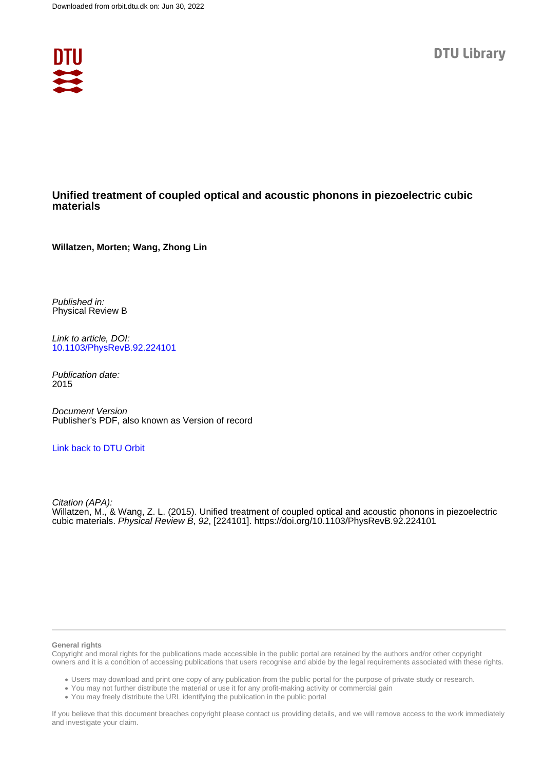

# **Unified treatment of coupled optical and acoustic phonons in piezoelectric cubic materials**

**Willatzen, Morten; Wang, Zhong Lin**

Published in: Physical Review B

Link to article, DOI: [10.1103/PhysRevB.92.224101](https://doi.org/10.1103/PhysRevB.92.224101)

Publication date: 2015

Document Version Publisher's PDF, also known as Version of record

## [Link back to DTU Orbit](https://orbit.dtu.dk/en/publications/c9132d23-a127-453c-a8da-dc394e771bbd)

Citation (APA): Willatzen, M., & Wang, Z. L. (2015). Unified treatment of coupled optical and acoustic phonons in piezoelectric cubic materials. Physical Review B, 92, [224101].<https://doi.org/10.1103/PhysRevB.92.224101>

### **General rights**

Copyright and moral rights for the publications made accessible in the public portal are retained by the authors and/or other copyright owners and it is a condition of accessing publications that users recognise and abide by the legal requirements associated with these rights.

Users may download and print one copy of any publication from the public portal for the purpose of private study or research.

- You may not further distribute the material or use it for any profit-making activity or commercial gain
- You may freely distribute the URL identifying the publication in the public portal

If you believe that this document breaches copyright please contact us providing details, and we will remove access to the work immediately and investigate your claim.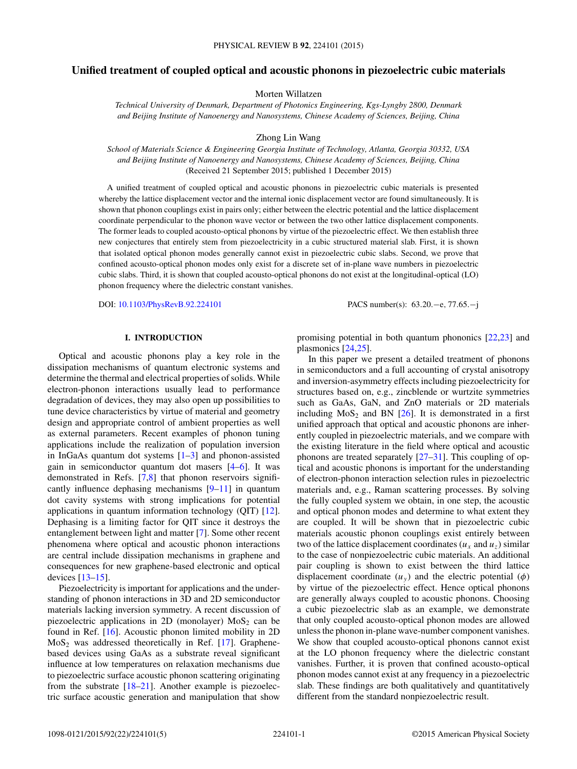## **Unified treatment of coupled optical and acoustic phonons in piezoelectric cubic materials**

Morten Willatzen

*Technical University of Denmark, Department of Photonics Engineering, Kgs-Lyngby 2800, Denmark and Beijing Institute of Nanoenergy and Nanosystems, Chinese Academy of Sciences, Beijing, China*

Zhong Lin Wang

*School of Materials Science & Engineering Georgia Institute of Technology, Atlanta, Georgia 30332, USA and Beijing Institute of Nanoenergy and Nanosystems, Chinese Academy of Sciences, Beijing, China* (Received 21 September 2015; published 1 December 2015)

A unified treatment of coupled optical and acoustic phonons in piezoelectric cubic materials is presented whereby the lattice displacement vector and the internal ionic displacement vector are found simultaneously. It is shown that phonon couplings exist in pairs only; either between the electric potential and the lattice displacement coordinate perpendicular to the phonon wave vector or between the two other lattice displacement components. The former leads to coupled acousto-optical phonons by virtue of the piezoelectric effect. We then establish three new conjectures that entirely stem from piezoelectricity in a cubic structured material slab. First, it is shown that isolated optical phonon modes generally cannot exist in piezoelectric cubic slabs. Second, we prove that confined acousto-optical phonon modes only exist for a discrete set of in-plane wave numbers in piezoelectric cubic slabs. Third, it is shown that coupled acousto-optical phonons do not exist at the longitudinal-optical (LO) phonon frequency where the dielectric constant vanishes.

DOI: [10.1103/PhysRevB.92.224101](http://dx.doi.org/10.1103/PhysRevB.92.224101) PACS number(s): 63*.*20*.*−e*,* 77*.*65*.*−j

## **I. INTRODUCTION**

Optical and acoustic phonons play a key role in the dissipation mechanisms of quantum electronic systems and determine the thermal and electrical properties of solids. While electron-phonon interactions usually lead to performance degradation of devices, they may also open up possibilities to tune device characteristics by virtue of material and geometry design and appropriate control of ambient properties as well as external parameters. Recent examples of phonon tuning applications include the realization of population inversion in InGaAs quantum dot systems  $[1-3]$  and phonon-assisted gain in semiconductor quantum dot masers [\[4–6\]](#page-5-0). It was demonstrated in Refs. [\[7,8\]](#page-5-0) that phonon reservoirs significantly influence dephasing mechanisms [\[9–11\]](#page-5-0) in quantum dot cavity systems with strong implications for potential applications in quantum information technology (QIT) [\[12\]](#page-5-0). Dephasing is a limiting factor for QIT since it destroys the entanglement between light and matter [\[7\]](#page-5-0). Some other recent phenomena where optical and acoustic phonon interactions are central include dissipation mechanisms in graphene and consequences for new graphene-based electronic and optical devices [\[13–15\]](#page-5-0).

Piezoelectricity is important for applications and the understanding of phonon interactions in 3D and 2D semiconductor materials lacking inversion symmetry. A recent discussion of piezoelectric applications in 2D (monolayer)  $MoS<sub>2</sub>$  can be found in Ref. [\[16\]](#page-5-0). Acoustic phonon limited mobility in 2D  $MoS<sub>2</sub>$  was addressed theoretically in Ref. [\[17\]](#page-5-0). Graphenebased devices using GaAs as a substrate reveal significant influence at low temperatures on relaxation mechanisms due to piezoelectric surface acoustic phonon scattering originating from the substrate  $[18–21]$ . Another example is piezoelectric surface acoustic generation and manipulation that show

promising potential in both quantum phononics [\[22,23\]](#page-5-0) and plasmonics [\[24,25\]](#page-5-0).

In this paper we present a detailed treatment of phonons in semiconductors and a full accounting of crystal anisotropy and inversion-asymmetry effects including piezoelectricity for structures based on, e.g., zincblende or wurtzite symmetries such as GaAs, GaN, and ZnO materials or 2D materials including  $MoS<sub>2</sub>$  and BN [\[26\]](#page-5-0). It is demonstrated in a first unified approach that optical and acoustic phonons are inherently coupled in piezoelectric materials, and we compare with the existing literature in the field where optical and acoustic phonons are treated separately [\[27–31\]](#page-5-0). This coupling of optical and acoustic phonons is important for the understanding of electron-phonon interaction selection rules in piezoelectric materials and, e.g., Raman scattering processes. By solving the fully coupled system we obtain, in one step, the acoustic and optical phonon modes and determine to what extent they are coupled. It will be shown that in piezoelectric cubic materials acoustic phonon couplings exist entirely between two of the lattice displacement coordinates  $(u_x \text{ and } u_z)$  similar to the case of nonpiezoelectric cubic materials. An additional pair coupling is shown to exist between the third lattice displacement coordinate  $(u_y)$  and the electric potential  $(\phi)$ by virtue of the piezoelectric effect. Hence optical phonons are generally always coupled to acoustic phonons. Choosing a cubic piezoelectric slab as an example, we demonstrate that only coupled acousto-optical phonon modes are allowed unless the phonon in-plane wave-number component vanishes. We show that coupled acousto-optical phonons cannot exist at the LO phonon frequency where the dielectric constant vanishes. Further, it is proven that confined acousto-optical phonon modes cannot exist at any frequency in a piezoelectric slab. These findings are both qualitatively and quantitatively different from the standard nonpiezoelectric result.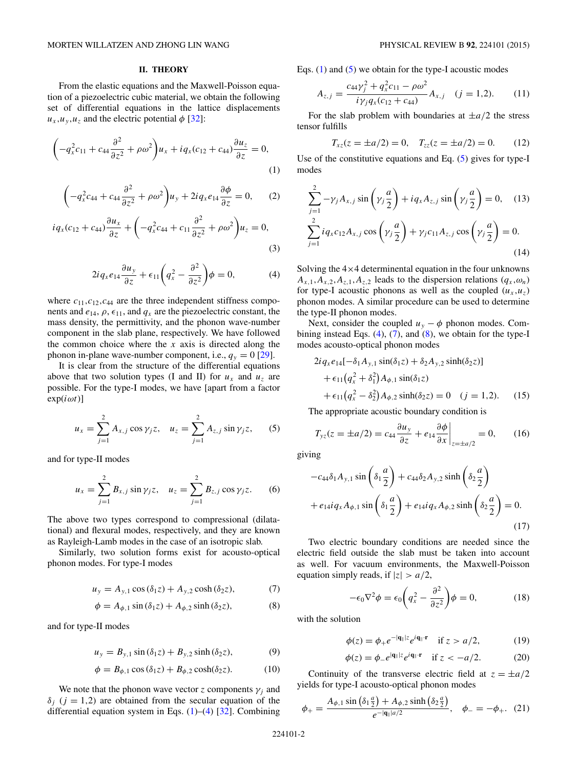### **II. THEORY**

<span id="page-2-0"></span>From the elastic equations and the Maxwell-Poisson equation of a piezoelectric cubic material, we obtain the following set of differential equations in the lattice displacements  $u_x, u_y, u_z$  and the electric potential  $\phi$  [\[32\]](#page-5-0):

$$
\left(-q_x^2c_{11}+c_{44}\frac{\partial^2}{\partial z^2}+\rho\omega^2\right)u_x+iq_x(c_{12}+c_{44})\frac{\partial u_z}{\partial z}=0,
$$
\n(1)

$$
\left(-q_x^2c_{44} + c_{44}\frac{\partial^2}{\partial z^2} + \rho\omega^2\right)u_y + 2iq_xe_{14}\frac{\partial\phi}{\partial z} = 0, \qquad (2)
$$

$$
iq_{x}(c_{12}+c_{44})\frac{\partial u_{x}}{\partial z}+\left(-q_{x}^{2}c_{44}+c_{11}\frac{\partial^{2}}{\partial z^{2}}+\rho\omega^{2}\right)u_{z}=0,
$$
\n(3)

$$
2iq_{x}e_{14}\frac{\partial u_{y}}{\partial z} + \epsilon_{11}\left(q_{x}^{2} - \frac{\partial^{2}}{\partial z^{2}}\right)\phi = 0, \qquad (4)
$$

where  $c_{11}, c_{12}, c_{44}$  are the three independent stiffness components and  $e_{14}$ ,  $\rho$ ,  $\epsilon_{11}$ , and  $q_x$  are the piezoelectric constant, the mass density, the permittivity, and the phonon wave-number component in the slab plane, respectively. We have followed the common choice where the  $x$  axis is directed along the phonon in-plane wave-number component, i.e.,  $q_y = 0$  [\[29\]](#page-5-0).

It is clear from the structure of the differential equations above that two solution types (I and II) for  $u_x$  and  $u_z$  are possible. For the type-I modes, we have [apart from a factor  $\exp(i\omega t)$ ]

$$
u_x = \sum_{j=1}^2 A_{x,j} \cos \gamma_j z, \quad u_z = \sum_{j=1}^2 A_{z,j} \sin \gamma_j z,
$$
 (5)

and for type-II modes

$$
u_x = \sum_{j=1}^2 B_{x,j} \sin \gamma_j z, \quad u_z = \sum_{j=1}^2 B_{z,j} \cos \gamma_j z. \tag{6}
$$

The above two types correspond to compressional (dilatational) and flexural modes, respectively, and they are known as Rayleigh-Lamb modes in the case of an isotropic slab.

Similarly, two solution forms exist for acousto-optical phonon modes. For type-I modes

$$
u_y = A_{y,1} \cos(\delta_1 z) + A_{y,2} \cosh(\delta_2 z), \tag{7}
$$

$$
\phi = A_{\phi,1} \sin(\delta_1 z) + A_{\phi,2} \sinh(\delta_2 z),\tag{8}
$$

and for type-II modes

$$
u_y = B_{y,1} \sin(\delta_1 z) + B_{y,2} \sinh(\delta_2 z),
$$
 (9)

$$
\phi = B_{\phi,1} \cos(\delta_1 z) + B_{\phi,2} \cosh(\delta_2 z). \tag{10}
$$

We note that the phonon wave vector *z* components  $\gamma_i$  and  $\delta$ <sub>*i*</sub> (*j* = 1,2) are obtained from the secular equation of the differential equation system in Eqs. (1)–(4) [\[32\]](#page-5-0). Combining Eqs.  $(1)$  and  $(5)$  we obtain for the type-I acoustic modes

$$
A_{z,j} = \frac{c_{44}\gamma_j^2 + q_x^2 c_{11} - \rho \omega^2}{i\gamma_j q_x (c_{12} + c_{44})} A_{x,j} \quad (j = 1, 2).
$$
 (11)

For the slab problem with boundaries at  $\pm a/2$  the stress tensor fulfills

$$
T_{xz}(z = \pm a/2) = 0, \quad T_{zz}(z = \pm a/2) = 0. \tag{12}
$$

Use of the constitutive equations and Eq. (5) gives for type-I modes

$$
\sum_{j=1}^{2} -\gamma_{j} A_{x,j} \sin\left(\gamma_{j} \frac{a}{2}\right) + i q_{x} A_{z,j} \sin\left(\gamma_{j} \frac{a}{2}\right) = 0, \quad (13)
$$
  

$$
\sum_{j=1}^{2} i q_{x} c_{12} A_{x,j} \cos\left(\gamma_{j} \frac{a}{2}\right) + \gamma_{j} c_{11} A_{z,j} \cos\left(\gamma_{j} \frac{a}{2}\right) = 0.
$$
 (14)

Solving the  $4\times4$  determinental equation in the four unknowns  $A_{x,1}, A_{x,2}, A_{z,1}, A_{z,2}$  leads to the dispersion relations  $(q_x, \omega_n)$ for type-I acoustic phonons as well as the coupled  $(u_x, u_z)$ phonon modes. A similar procedure can be used to determine the type-II phonon modes.

Next, consider the coupled  $u_y - \phi$  phonon modes. Combining instead Eqs. (4), (7), and (8), we obtain for the type-I modes acousto-optical phonon modes

$$
2iq_x e_{14}[-\delta_1 A_{y,1} \sin(\delta_1 z) + \delta_2 A_{y,2} \sinh(\delta_2 z)]
$$
  
+  $\epsilon_{11}(q_x^2 + \delta_1^2) A_{\phi,1} \sin(\delta_1 z)$   
+  $\epsilon_{11}(q_x^2 - \delta_2^2) A_{\phi,2} \sinh(\delta_2 z) = 0$  (j = 1,2). (15)

The appropriate acoustic boundary condition is

$$
T_{yz}(z = \pm a/2) = c_{44} \frac{\partial u_y}{\partial z} + e_{14} \frac{\partial \phi}{\partial x}\Big|_{z = \pm a/2} = 0, \qquad (16)
$$

giving

$$
-c_{44}\delta_1 A_{y,1} \sin\left(\delta_1 \frac{a}{2}\right) + c_{44}\delta_2 A_{y,2} \sinh\left(\delta_2 \frac{a}{2}\right)
$$

$$
+ e_{14} i q_x A_{\phi,1} \sin\left(\delta_1 \frac{a}{2}\right) + e_{14} i q_x A_{\phi,2} \sinh\left(\delta_2 \frac{a}{2}\right) = 0.
$$
(17)

Two electric boundary conditions are needed since the electric field outside the slab must be taken into account as well. For vacuum environments, the Maxwell-Poisson equation simply reads, if  $|z| > a/2$ ,

$$
-\epsilon_0 \nabla^2 \phi = \epsilon_0 \left( q_x^2 - \frac{\partial^2}{\partial z^2} \right) \phi = 0, \tag{18}
$$

with the solution

$$
\phi(z) = \phi_+ e^{-|{\bf q}_\parallel|z} e^{i{\bf q}_\parallel \cdot {\bf r}} \quad \text{if } z > a/2,\tag{19}
$$

$$
\phi(z) = \phi_- e^{|\mathbf{q}_\parallel|z} e^{i\mathbf{q}_\parallel \cdot \mathbf{r}} \quad \text{if } z < -a/2. \tag{20}
$$

Continuity of the transverse electric field at  $z = \pm a/2$ yields for type-I acousto-optical phonon modes

$$
\phi_{+} = \frac{A_{\phi,1} \sin \left(\delta_{1} \frac{a}{2}\right) + A_{\phi,2} \sinh \left(\delta_{2} \frac{a}{2}\right)}{e^{-|\mathbf{q}_{\parallel}|a/2}}, \quad \phi_{-} = -\phi_{+}.
$$
 (21)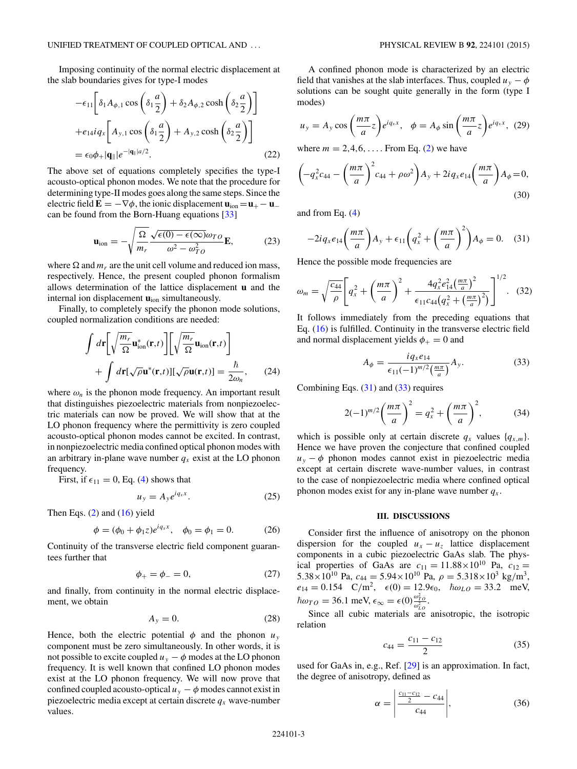Imposing continuity of the normal electric displacement at the slab boundaries gives for type-I modes

$$
-\epsilon_{11}\left[\delta_1 A_{\phi,1} \cos\left(\delta_1 \frac{a}{2}\right) + \delta_2 A_{\phi,2} \cosh\left(\delta_2 \frac{a}{2}\right)\right]
$$

$$
+e_{14}iq_x\left[A_{y,1} \cos\left(\delta_1 \frac{a}{2}\right) + A_{y,2} \cosh\left(\delta_2 \frac{a}{2}\right)\right]
$$

$$
=\epsilon_0 \phi_+ |\mathbf{q}_\parallel|e^{-|\mathbf{q}_\parallel|a/2}.
$$
(22)

The above set of equations completely specifies the type-I acousto-optical phonon modes. We note that the procedure for determining type-II modes goes along the same steps. Since the electric field  $\mathbf{E} = -\nabla \phi$ , the ionic displacement  $\mathbf{u}_{\text{ion}} = \mathbf{u}_{+} - \mathbf{u}_{-}$ can be found from the Born-Huang equations [\[33\]](#page-5-0)

$$
\mathbf{u}_{\text{ion}} = -\sqrt{\frac{\Omega}{m_r}} \frac{\sqrt{\epsilon(0) - \epsilon(\infty)} \omega_{T0}}{\omega^2 - \omega_{T0}^2} \mathbf{E},\tag{23}
$$

where  $\Omega$  and  $m_r$  are the unit cell volume and reduced ion mass, respectively. Hence, the present coupled phonon formalism allows determination of the lattice displacement **u** and the internal ion displacement  $\mathbf{u}_{\text{ion}}$  simultaneously.

Finally, to completely specify the phonon mode solutions, coupled normalization conditions are needed:

$$
\int d\mathbf{r} \left[ \sqrt{\frac{m_r}{\Omega}} \mathbf{u}_{\text{ion}}^*(\mathbf{r}, t) \right] \left[ \sqrt{\frac{m_r}{\Omega}} \mathbf{u}_{\text{ion}}(\mathbf{r}, t) \right] + \int d\mathbf{r} [\sqrt{\rho} \mathbf{u}^*(\mathbf{r}, t)] [\sqrt{\rho} \mathbf{u}(\mathbf{r}, t)] = \frac{\hbar}{2\omega_n}, \qquad (24)
$$

where  $\omega_n$  is the phonon mode frequency. An important result that distinguishes piezoelectric materials from nonpiezoelectric materials can now be proved. We will show that at the LO phonon frequency where the permittivity is zero coupled acousto-optical phonon modes cannot be excited. In contrast, in nonpiezoelectric media confined optical phonon modes with an arbitrary in-plane wave number  $q_x$  exist at the LO phonon frequency.

First, if  $\epsilon_{11} = 0$ , Eq. [\(4\)](#page-2-0) shows that

$$
u_y = A_y e^{iq_x x}.
$$
 (25)

Then Eqs. [\(2\)](#page-2-0) and [\(16\)](#page-2-0) yield

$$
\phi = (\phi_0 + \phi_1 z)e^{iq_x x}, \quad \phi_0 = \phi_1 = 0. \tag{26}
$$

Continuity of the transverse electric field component guarantees further that

$$
\phi_+ = \phi_- = 0,\tag{27}
$$

and finally, from continuity in the normal electric displacement, we obtain

$$
A_y = 0.\t(28)
$$

Hence, both the electric potential  $\phi$  and the phonon  $u_y$ component must be zero simultaneously. In other words, it is not possible to excite coupled  $u_y - \phi$  modes at the LO phonon frequency. It is well known that confined LO phonon modes exist at the LO phonon frequency. We will now prove that confined coupled acousto-optical  $u_y - \phi$  modes cannot exist in piezoelectric media except at certain discrete  $q_x$  wave-number values.

A confined phonon mode is characterized by an electric field that vanishes at the slab interfaces. Thus, coupled  $u_y - \phi$ solutions can be sought quite generally in the form (type I modes)

$$
u_y = A_y \cos\left(\frac{m\pi}{a}z\right) e^{iq_x x}, \quad \phi = A_\phi \sin\left(\frac{m\pi}{a}z\right) e^{iq_x x}, \tag{29}
$$

where  $m = 2, 4, 6, \ldots$  From Eq. [\(2\)](#page-2-0) we have

$$
\left(-q_x^2c_{44} - \left(\frac{m\pi}{a}\right)^2c_{44} + \rho\omega^2\right)A_y + 2iq_xe_{14}\left(\frac{m\pi}{a}\right)A_{\phi} = 0,
$$
\n(30)

and from Eq. [\(4\)](#page-2-0)

$$
-2iq_{x}e_{14}\left(\frac{m\pi}{a}\right)A_{y} + \epsilon_{11}\left(q_{x}^{2} + \left(\frac{m\pi}{a}\right)^{2}\right)A_{\phi} = 0. \quad (31)
$$

Hence the possible mode frequencies are

$$
\omega_m = \sqrt{\frac{c_{44}}{\rho}} \left[ q_x^2 + \left( \frac{m\pi}{a} \right)^2 + \frac{4q_x^2 e_{14}^2 \left( \frac{m\pi}{a} \right)^2}{\epsilon_{11} c_{44} \left( q_x^2 + \left( \frac{m\pi}{a} \right)^2 \right)} \right]^{1/2} . \quad (32)
$$

It follows immediately from the preceding equations that Eq. [\(16\)](#page-2-0) is fulfilled. Continuity in the transverse electric field and normal displacement yields  $\phi_{+} = 0$  and

$$
A_{\phi} = \frac{i q_x e_{14}}{\epsilon_{11} (-1)^{m/2} \left(\frac{m\pi}{a}\right)} A_y.
$$
 (33)

Combining Eqs.  $(31)$  and  $(33)$  requires

$$
2(-1)^{m/2} \left(\frac{m\pi}{a}\right)^2 = q_x^2 + \left(\frac{m\pi}{a}\right)^2, \tag{34}
$$

which is possible only at certain discrete  $q_x$  values  $\{q_{x,m}\}.$ Hence we have proven the conjecture that confined coupled  $u_y - \phi$  phonon modes cannot exist in piezoelectric media except at certain discrete wave-number values, in contrast to the case of nonpiezoelectric media where confined optical phonon modes exist for any in-plane wave number  $q_x$ .

#### **III. DISCUSSIONS**

Consider first the influence of anisotropy on the phonon dispersion for the coupled  $u_x - u_z$  lattice displacement components in a cubic piezoelectric GaAs slab. The physical properties of GaAs are  $c_{11} = 11.88 \times 10^{10}$  Pa,  $c_{12} =$  $5.38 \times 10^{10}$  Pa,  $c_{44} = 5.94 \times 10^{10}$  Pa,  $\rho = 5.318 \times 10^3$  kg/m<sup>3</sup>,  $e_{14} = 0.154 \quad C/m^2$ ,  $\epsilon(0) = 12.9\epsilon_0$ ,  $\hbar\omega_{LO} = 33.2 \quad \text{meV}$ ,  $\hbar \omega_{TO} = 36.1 \text{ meV}, \epsilon_{\infty} = \epsilon(0) \frac{\omega_{TO}^2}{\omega_{LO}^2}.$ 

Since all cubic materials are anisotropic, the isotropic relation

$$
c_{44} = \frac{c_{11} - c_{12}}{2} \tag{35}
$$

used for GaAs in, e.g., Ref. [\[29\]](#page-5-0) is an approximation. In fact, the degree of anisotropy, defined as

$$
\alpha = \left| \frac{\frac{c_{11} - c_{12}}{2} - c_{44}}{c_{44}} \right|, \tag{36}
$$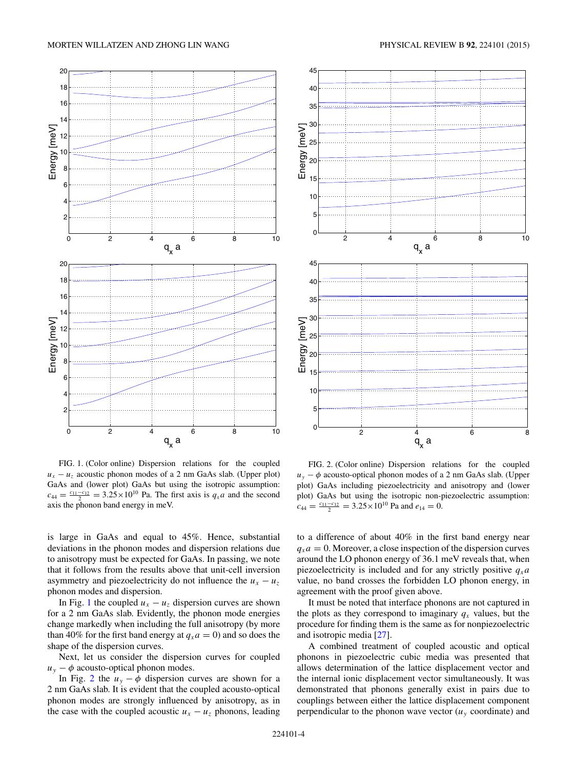

FIG. 1. (Color online) Dispersion relations for the coupled  $u_x - u_z$  acoustic phonon modes of a 2 nm GaAs slab. (Upper plot) GaAs and (lower plot) GaAs but using the isotropic assumption:  $c_{44} = \frac{c_{11} - c_{12}}{2} = 3.25 \times 10^{10}$  Pa. The first axis is  $q_x a$  and the second axis the phonon band energy in meV.

is large in GaAs and equal to 45%. Hence, substantial deviations in the phonon modes and dispersion relations due to anisotropy must be expected for GaAs. In passing, we note that it follows from the results above that unit-cell inversion asymmetry and piezoelectricity do not influence the  $u_x - u_z$ phonon modes and dispersion.

In Fig. 1 the coupled  $u_x - u_z$  dispersion curves are shown for a 2 nm GaAs slab. Evidently, the phonon mode energies change markedly when including the full anisotropy (by more than 40% for the first band energy at  $q_x a = 0$ ) and so does the shape of the dispersion curves.

Next, let us consider the dispersion curves for coupled  $u_y - \phi$  acousto-optical phonon modes.

In Fig. 2 the  $u_y - \phi$  dispersion curves are shown for a 2 nm GaAs slab. It is evident that the coupled acousto-optical phonon modes are strongly influenced by anisotropy, as in the case with the coupled acoustic  $u_x - u_z$  phonons, leading



FIG. 2. (Color online) Dispersion relations for the coupled  $u_y - \phi$  acousto-optical phonon modes of a 2 nm GaAs slab. (Upper plot) GaAs including piezoelectricity and anisotropy and (lower plot) GaAs but using the isotropic non-piezoelectric assumption:  $c_{44} = \frac{c_{11} - c_{12}}{2} = 3.25 \times 10^{10}$  Pa and  $e_{14} = 0$ .

to a difference of about 40% in the first band energy near  $q_x a = 0$ . Moreover, a close inspection of the dispersion curves around the LO phonon energy of 36*.*1 meV reveals that, when piezoelectricity is included and for any strictly positive  $q_x a$ value, no band crosses the forbidden LO phonon energy, in agreement with the proof given above.

It must be noted that interface phonons are not captured in the plots as they correspond to imaginary  $q_x$  values, but the procedure for finding them is the same as for nonpiezoelectric and isotropic media [\[27\]](#page-5-0).

A combined treatment of coupled acoustic and optical phonons in piezoelectric cubic media was presented that allows determination of the lattice displacement vector and the internal ionic displacement vector simultaneously. It was demonstrated that phonons generally exist in pairs due to couplings between either the lattice displacement component perpendicular to the phonon wave vector  $(u_y \text{ coordinate})$  and